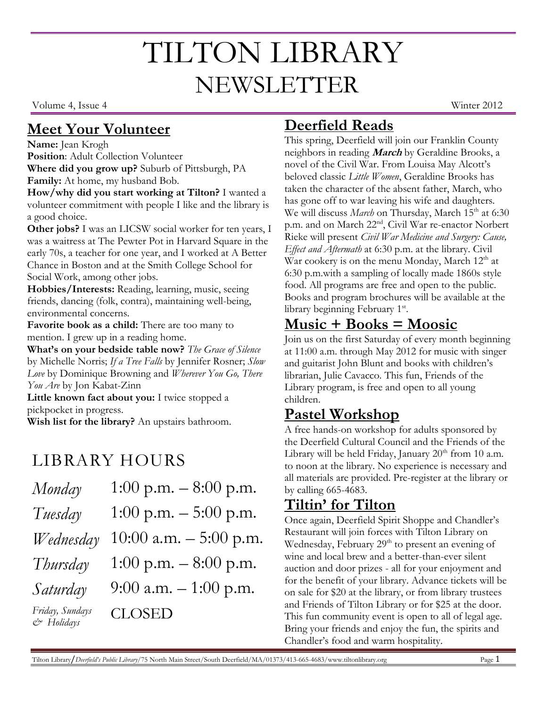# TILTON LIBRARY NEWSLETTER

Volume 4, Issue 4 Winter 2012

#### **Meet Your Volunteer**

#### **Name:** Jean Krogh

**Position**: Adult Collection Volunteer **Where did you grow up?** Suburb of Pittsburgh, PA **Family:** At home, my husband Bob.

**How/why did you start working at Tilton?** I wanted a volunteer commitment with people I like and the library is a good choice.

**Other jobs?** I was an LICSW social worker for ten years, I was a waitress at The Pewter Pot in Harvard Square in the early 70s, a teacher for one year, and I worked at A Better Chance in Boston and at the Smith College School for Social Work, among other jobs.

**Hobbies/Interests:** Reading, learning, music, seeing friends, dancing (folk, contra), maintaining well-being, environmental concerns.

**Favorite book as a child:** There are too many to mention. I grew up in a reading home.

**What's on your bedside table now?** *The Grace of Silence*  by Michelle Norris; *If a Tree Falls* by Jennifer Rosner; *Slow Love* by Dominique Browning and *Wherever You Go, There You Are* by Jon Kabat-Zinn

**Little known fact about you:** I twice stopped a pickpocket in progress.

**Wish list for the library?** An upstairs bathroom.

## LIBRARY HOURS

| Monday                                       | 1:00 p.m. $-8:00$ p.m.   |
|----------------------------------------------|--------------------------|
| Tuesday                                      | 1:00 p.m. $-$ 5:00 p.m.  |
| Wednesday                                    | 10:00 a.m. $-$ 5:00 p.m. |
| Thursday                                     | 1:00 p.m. $-8:00$ p.m.   |
| Saturday                                     | 9:00 a.m. $-1:00$ p.m.   |
| Friday, Sundays<br>$c$ <sup>b</sup> Holidays | <b>CLOSED</b>            |

### **Deerfield Reads**

This spring, Deerfield will join our Franklin County neighbors in reading **March** by Geraldine Brooks, a novel of the Civil War. From Louisa May Alcott's beloved classic *Little Women*, Geraldine Brooks has taken the character of the absent father, March, who has gone off to war leaving his wife and daughters. We will discuss *March* on Thursday, March 15<sup>th</sup> at 6:30 p.m. and on March 22nd, Civil War re-enactor Norbert Rieke will present *Civil War Medicine and Surgery: Cause, Effect and Aftermath* at 6:30 p.m. at the library. Civil War cookery is on the menu Monday, March  $12<sup>th</sup>$  at 6:30 p.m.with a sampling of locally made 1860s style food. All programs are free and open to the public. Books and program brochures will be available at the library beginning February 1st.

#### **Music + Books = Moosic**

Join us on the first Saturday of every month beginning at 11:00 a.m. through May 2012 for music with singer and guitarist John Blunt and books with children's librarian, Julie Cavacco. This fun, Friends of the Library program, is free and open to all young children.

#### **Pastel Workshop**

A free hands-on workshop for adults sponsored by the Deerfield Cultural Council and the Friends of the Library will be held Friday, January  $20<sup>th</sup>$  from 10 a.m. to noon at the library. No experience is necessary and all materials are provided. Pre-register at the library or by calling 665-4683.

#### **Tiltin' for Tilton**

Once again, Deerfield Spirit Shoppe and Chandler's Restaurant will join forces with Tilton Library on Wednesday, February 29<sup>th</sup> to present an evening of wine and local brew and a better-than-ever silent auction and door prizes - all for your enjoyment and for the benefit of your library. Advance tickets will be on sale for \$20 at the library, or from library trustees and Friends of Tilton Library or for \$25 at the door. This fun community event is open to all of legal age. Bring your friends and enjoy the fun, the spirits and Chandler's food and warm hospitality.